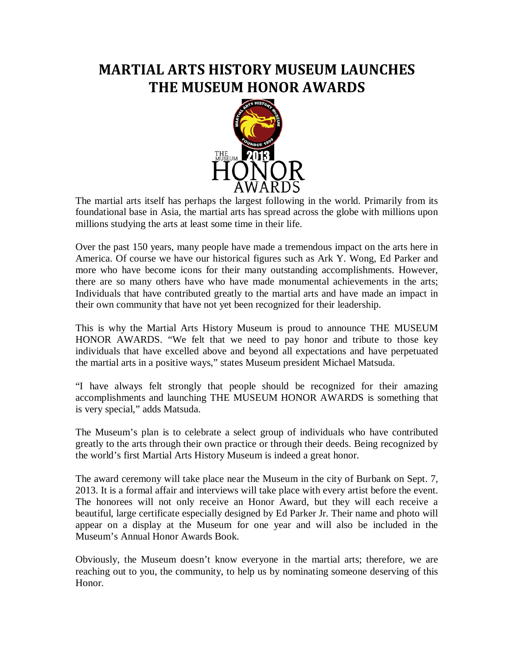## **MARTIAL ARTS HISTORY MUSEUM LAUNCHES THE MUSEUM HONOR AWARDS**



The martial arts itself has perhaps the largest following in the world. Primarily from its foundational base in Asia, the martial arts has spread across the globe with millions upon millions studying the arts at least some time in their life.

Over the past 150 years, many people have made a tremendous impact on the arts here in America. Of course we have our historical figures such as Ark Y. Wong, Ed Parker and more who have become icons for their many outstanding accomplishments. However, there are so many others have who have made monumental achievements in the arts; Individuals that have contributed greatly to the martial arts and have made an impact in their own community that have not yet been recognized for their leadership.

This is why the Martial Arts History Museum is proud to announce THE MUSEUM HONOR AWARDS. "We felt that we need to pay honor and tribute to those key individuals that have excelled above and beyond all expectations and have perpetuated the martial arts in a positive ways," states Museum president Michael Matsuda.

"I have always felt strongly that people should be recognized for their amazing accomplishments and launching THE MUSEUM HONOR AWARDS is something that is very special," adds Matsuda.

The Museum's plan is to celebrate a select group of individuals who have contributed greatly to the arts through their own practice or through their deeds. Being recognized by the world's first Martial Arts History Museum is indeed a great honor.

The award ceremony will take place near the Museum in the city of Burbank on Sept. 7, 2013. It is a formal affair and interviews will take place with every artist before the event. The honorees will not only receive an Honor Award, but they will each receive a beautiful, large certificate especially designed by Ed Parker Jr. Their name and photo will appear on a display at the Museum for one year and will also be included in the Museum's Annual Honor Awards Book.

Obviously, the Museum doesn't know everyone in the martial arts; therefore, we are reaching out to you, the community, to help us by nominating someone deserving of this Honor.